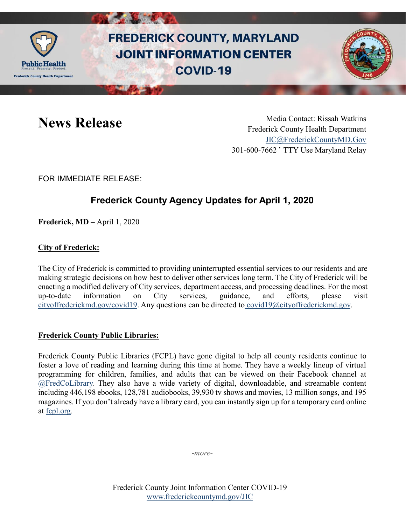

# **FREDERICK COUNTY, MARYLAND JOINT INFORMATION CENTER COVID-19**



News Release Media Contact: Rissah Watkins Frederick County Health Department [JIC@FrederickCountyMD.Gov](mailto:JIC@FrederickCountyMD.Gov) 301-600-7662 • TTY Use Maryland Relay

FOR IMMEDIATE RELEASE:

## **Frederick County Agency Updates for April 1, 2020**

**Frederick, MD –** April 1, 2020

### **City of Frederick:**

The City of Frederick is committed to providing uninterrupted essential services to our residents and are making strategic decisions on how best to deliver other services long term. The City of Frederick will be enacting a modified delivery of City services, department access, and processing deadlines. For the most up-to-date information on City services, guidance, and efforts, please visit [cityoffrederickmd.gov/covid19.](https://cityoffrederickmd.gov/covid19) Any questions can be directed to [covid19@cityoffrederickmd.gov.](mailto:covid19@cityoffrederickmd.gov)

#### **Frederick County Public Libraries:**

Frederick County Public Libraries (FCPL) have gone digital to help all county residents continue to foster a love of reading and learning during this time at home. They have a weekly lineup of virtual programming for children, families, and adults that can be viewed on their Facebook channel at [@FredCoLibrary.](https://www.facebook.com/FredCoLibrary/) They also have a wide variety of digital, downloadable, and streamable content including 446,198 ebooks, 128,781 audiobooks, 39,930 tv shows and movies, 13 million songs, and 195 magazines. If you don't already have a library card, you can instantly sign up for a temporary card online at [fcpl.org.](https://www.fcpl.org/)

-*more-*

Frederick County Joint Information Center COVID-19 [www.frederickcountymd.gov/JIC](https://frederickcountymd.gov/JIC)